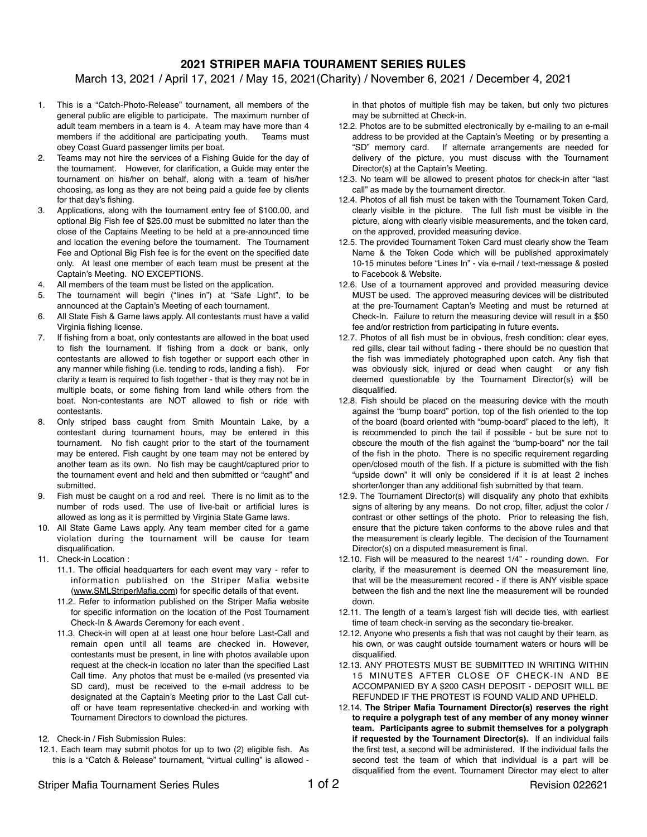## **2021 STRIPER MAFIA TOURAMENT SERIES RULES**

March 13, 2021 / April 17, 2021 / May 15, 2021(Charity) / November 6, 2021 / December 4, 2021

- 1. This is a "Catch-Photo-Release" tournament, all members of the general public are eligible to participate. The maximum number of adult team members in a team is 4. A team may have more than 4 members if the additional are participating youth. Teams must obey Coast Guard passenger limits per boat.
- 2. Teams may not hire the services of a Fishing Guide for the day of the tournament. However, for clarification, a Guide may enter the tournament on his/her on behalf, along with a team of his/her choosing, as long as they are not being paid a guide fee by clients for that day's fishing.
- 3. Applications, along with the tournament entry fee of \$100.00, and optional Big Fish fee of \$25.00 must be submitted no later than the close of the Captains Meeting to be held at a pre-announced time and location the evening before the tournament. The Tournament Fee and Optional Big Fish fee is for the event on the specified date only. At least one member of each team must be present at the Captain's Meeting. NO EXCEPTIONS.
- 4. All members of the team must be listed on the application.
- 5. The tournament will begin ("lines in") at "Safe Light", to be announced at the Captain's Meeting of each tournament.
- 6. All State Fish & Game laws apply. All contestants must have a valid Virginia fishing license.
- 7. If fishing from a boat, only contestants are allowed in the boat used to fish the tournament. If fishing from a dock or bank, only contestants are allowed to fish together or support each other in any manner while fishing (i.e. tending to rods, landing a fish). For clarity a team is required to fish together - that is they may not be in multiple boats, or some fishing from land while others from the boat. Non-contestants are NOT allowed to fish or ride with contestants.
- 8. Only striped bass caught from Smith Mountain Lake, by a contestant during tournament hours, may be entered in this tournament. No fish caught prior to the start of the tournament may be entered. Fish caught by one team may not be entered by another team as its own. No fish may be caught/captured prior to the tournament event and held and then submitted or "caught" and submitted.
- 9. Fish must be caught on a rod and reel. There is no limit as to the number of rods used. The use of live-bait or artificial lures is allowed as long as it is permitted by Virginia State Game laws.
- 10. All State Game Laws apply. Any team member cited for a game violation during the tournament will be cause for team disqualification.
- 11. Check-in Location :
	- 11.1. The official headquarters for each event may vary refer to information published on the Striper Mafia website ([www.SMLStriperMafia.com\)](http://www.SMLStriperMafia.com) for specific details of that event.
	- 11.2. Refer to information published on the Striper Mafia website for specific information on the location of the Post Tournament Check-In & Awards Ceremony for each event .
	- 11.3. Check-in will open at at least one hour before Last-Call and remain open until all teams are checked in. However, contestants must be present, in line with photos available upon request at the check-in location no later than the specified Last Call time. Any photos that must be e-mailed (vs presented via SD card), must be received to the e-mail address to be designated at the Captain's Meeting prior to the Last Call cutoff or have team representative checked-in and working with Tournament Directors to download the pictures.
- 12. Check-in / Fish Submission Rules:
- 12.1. Each team may submit photos for up to two (2) eligible fish. As this is a "Catch & Release" tournament, "virtual culling" is allowed -

in that photos of multiple fish may be taken, but only two pictures may be submitted at Check-in.

- 12.2. Photos are to be submitted electronically by e-mailing to an e-mail address to be provided at the Captain's Meeting or by presenting a "SD" memory card. If alternate arrangements are needed for delivery of the picture, you must discuss with the Tournament Director(s) at the Captain's Meeting.
- 12.3. No team will be allowed to present photos for check-in after "last call" as made by the tournament director.
- 12.4. Photos of all fish must be taken with the Tournament Token Card, clearly visible in the picture. The full fish must be visible in the picture, along with clearly visible measurements, and the token card, on the approved, provided measuring device.
- 12.5. The provided Tournament Token Card must clearly show the Team Name & the Token Code which will be published approximately 10-15 minutes before "Lines In" - via e-mail / text-message & posted to Facebook & Website.
- 12.6. Use of a tournament approved and provided measuring device MUST be used. The approved measuring devices will be distributed at the pre-Tournament Captan's Meeting and must be returned at Check-In. Failure to return the measuring device will result in a \$50 fee and/or restriction from participating in future events.
- 12.7. Photos of all fish must be in obvious, fresh condition: clear eyes, red gills, clear tail without fading - there should be no question that the fish was immediately photographed upon catch. Any fish that was obviously sick, injured or dead when caught or any fish deemed questionable by the Tournament Director(s) will be disqualified.
- 12.8. Fish should be placed on the measuring device with the mouth against the "bump board" portion, top of the fish oriented to the top of the board (board oriented with "bump-board" placed to the left), It is recommended to pinch the tail if possible - but be sure not to obscure the mouth of the fish against the "bump-board" nor the tail of the fish in the photo. There is no specific requirement regarding open/closed mouth of the fish. If a picture is submitted with the fish "upside down" it will only be considered if it is at least 2 inches shorter/longer than any additional fish submitted by that team.
- 12.9. The Tournament Director(s) will disqualify any photo that exhibits signs of altering by any means. Do not crop, filter, adjust the color / contrast or other settings of the photo. Prior to releasing the fish, ensure that the picture taken conforms to the above rules and that the measurement is clearly legible. The decision of the Tournament Director(s) on a disputed measurement is final.
- 12.10. Fish will be measured to the nearest 1/4" rounding down. For clarity, if the measurement is deemed ON the measurement line, that will be the measurement recored - if there is ANY visible space between the fish and the next line the measurement will be rounded down.
- 12.11. The length of a team's largest fish will decide ties, with earliest time of team check-in serving as the secondary tie-breaker.
- 12.12. Anyone who presents a fish that was not caught by their team, as his own, or was caught outside tournament waters or hours will be disqualified.
- 12.13. ANY PROTESTS MUST BE SUBMITTED IN WRITING WITHIN 15 MINUTES AFTER CLOSE OF CHECK-IN AND BE ACCOMPANIED BY A \$200 CASH DEPOSIT - DEPOSIT WILL BE REFUNDED IF THE PROTEST IS FOUND VALID AND UPHELD.
- 12.14. **The Striper Mafia Tournament Director(s) reserves the right to require a polygraph test of any member of any money winner team. Participants agree to submit themselves for a polygraph if requested by the Tournament Director(s).** If an individual fails the first test, a second will be administered. If the individual fails the second test the team of which that individual is a part will be disqualified from the event. Tournament Director may elect to alter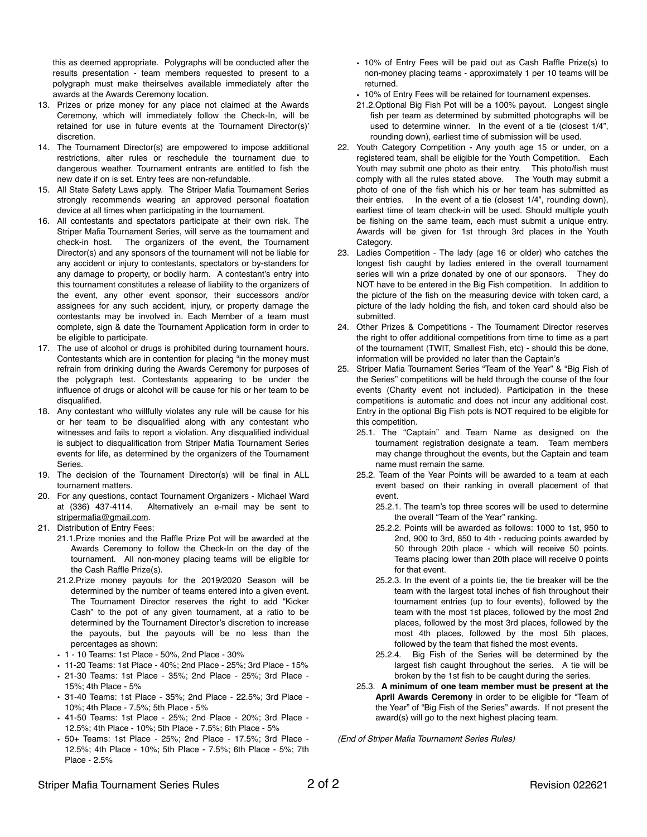this as deemed appropriate. Polygraphs will be conducted after the results presentation - team members requested to present to a polygraph must make theirselves available immediately after the awards at the Awards Ceremony location.

- 13. Prizes or prize money for any place not claimed at the Awards Ceremony, which will immediately follow the Check-In, will be retained for use in future events at the Tournament Director(s)' discretion.
- 14. The Tournament Director(s) are empowered to impose additional restrictions, alter rules or reschedule the tournament due to dangerous weather. Tournament entrants are entitled to fish the new date if on is set. Entry fees are non-refundable.
- 15. All State Safety Laws apply. The Striper Mafia Tournament Series strongly recommends wearing an approved personal floatation device at all times when participating in the tournament.
- 16. All contestants and spectators participate at their own risk. The Striper Mafia Tournament Series, will serve as the tournament and check-in host. The organizers of the event, the Tournament Director(s) and any sponsors of the tournament will not be liable for any accident or injury to contestants, spectators or by-standers for any damage to property, or bodily harm. A contestant's entry into this tournament constitutes a release of liability to the organizers of the event, any other event sponsor, their successors and/or assignees for any such accident, injury, or property damage the contestants may be involved in. Each Member of a team must complete, sign & date the Tournament Application form in order to be eligible to participate.
- 17. The use of alcohol or drugs is prohibited during tournament hours. Contestants which are in contention for placing "in the money must refrain from drinking during the Awards Ceremony for purposes of the polygraph test. Contestants appearing to be under the influence of drugs or alcohol will be cause for his or her team to be disqualified.
- 18. Any contestant who willfully violates any rule will be cause for his or her team to be disqualified along with any contestant who witnesses and fails to report a violation. Any disqualified individual is subject to disqualification from Striper Mafia Tournament Series events for life, as determined by the organizers of the Tournament Series.
- 19. The decision of the Tournament Director(s) will be final in ALL tournament matters.
- 20. For any questions, contact Tournament Organizers Michael Ward at (336) 437-4114. Alternatively an e-mail may be sent to [stripermafia@gmail.com](mailto:stripermafia@gmail.com).
- 21. Distribution of Entry Fees:
	- 21.1.Prize monies and the Raffle Prize Pot will be awarded at the Awards Ceremony to follow the Check-In on the day of the tournament. All non-money placing teams will be eligible for the Cash Raffle Prize(s).
	- 21.2.Prize money payouts for the 2019/2020 Season will be determined by the number of teams entered into a given event. The Tournament Director reserves the right to add "Kicker Cash" to the pot of any given tournament, at a ratio to be determined by the Tournament Director's discretion to increase the payouts, but the payouts will be no less than the percentages as shown:
	- 1 10 Teams: 1st Place 50%, 2nd Place 30%
	- 11-20 Teams: 1st Place 40%; 2nd Place 25%; 3rd Place 15%
	- 21-30 Teams: 1st Place 35%; 2nd Place 25%; 3rd Place 15%; 4th Place - 5%
	- 31-40 Teams: 1st Place 35%; 2nd Place 22.5%; 3rd Place 10%; 4th Place - 7.5%; 5th Place - 5%
	- 41-50 Teams: 1st Place 25%; 2nd Place 20%; 3rd Place 12.5%; 4th Place - 10%; 5th Place - 7.5%; 6th Place - 5%
	- 50+ Teams: 1st Place 25%; 2nd Place 17.5%; 3rd Place 12.5%; 4th Place - 10%; 5th Place - 7.5%; 6th Place - 5%; 7th Place - 2.5%
- 10% of Entry Fees will be paid out as Cash Raffle Prize(s) to non-money placing teams - approximately 1 per 10 teams will be returned.
- 10% of Entry Fees will be retained for tournament expenses.
- 21.2.Optional Big Fish Pot will be a 100% payout. Longest single fish per team as determined by submitted photographs will be used to determine winner. In the event of a tie (closest 1/4", rounding down), earliest time of submission will be used.
- 22. Youth Category Competition Any youth age 15 or under, on a registered team, shall be eligible for the Youth Competition. Each Youth may submit one photo as their entry. This photo/fish must comply with all the rules stated above. The Youth may submit a photo of one of the fish which his or her team has submitted as their entries. In the event of a tie (closest 1/4", rounding down), earliest time of team check-in will be used. Should multiple youth be fishing on the same team, each must submit a unique entry. Awards will be given for 1st through 3rd places in the Youth Category.
- 23. Ladies Competition The lady (age 16 or older) who catches the longest fish caught by ladies entered in the overall tournament series will win a prize donated by one of our sponsors. They do NOT have to be entered in the Big Fish competition. In addition to the picture of the fish on the measuring device with token card, a picture of the lady holding the fish, and token card should also be submitted.
- 24. Other Prizes & Competitions The Tournament Director reserves the right to offer additional competitions from time to time as a part of the tournament (TWIT, Smallest Fish, etc) - should this be done, information will be provided no later than the Captain's
- 25. Striper Mafia Tournament Series "Team of the Year" & "Big Fish of the Series" competitions will be held through the course of the four events (Charity event not included). Participation in the these competitions is automatic and does not incur any additional cost. Entry in the optional Big Fish pots is NOT required to be eligible for this competition.
	- 25.1. The "Captain" and Team Name as designed on the tournament registration designate a team. Team members may change throughout the events, but the Captain and team name must remain the same.
	- 25.2. Team of the Year Points will be awarded to a team at each event based on their ranking in overall placement of that event.
		- 25.2.1. The team's top three scores will be used to determine the overall "Team of the Year" ranking.
		- 25.2.2. Points will be awarded as follows: 1000 to 1st, 950 to 2nd, 900 to 3rd, 850 to 4th - reducing points awarded by 50 through 20th place - which will receive 50 points. Teams placing lower than 20th place will receive 0 points for that event.
		- 25.2.3. In the event of a points tie, the tie breaker will be the team with the largest total inches of fish throughout their tournament entries (up to four events), followed by the team with the most 1st places, followed by the most 2nd places, followed by the most 3rd places, followed by the most 4th places, followed by the most 5th places, followed by the team that fished the most events.
		- 25.2.4. Big Fish of the Series will be determined by the largest fish caught throughout the series. A tie will be broken by the 1st fish to be caught during the series.
	- 25.3. **A minimum of one team member must be present at the April Awards Ceremony** in order to be eligible for "Team of the Year" of "Big Fish of the Series" awards. If not present the award(s) will go to the next highest placing team.

*(End of Striper Mafia Tournament Series Rules)*